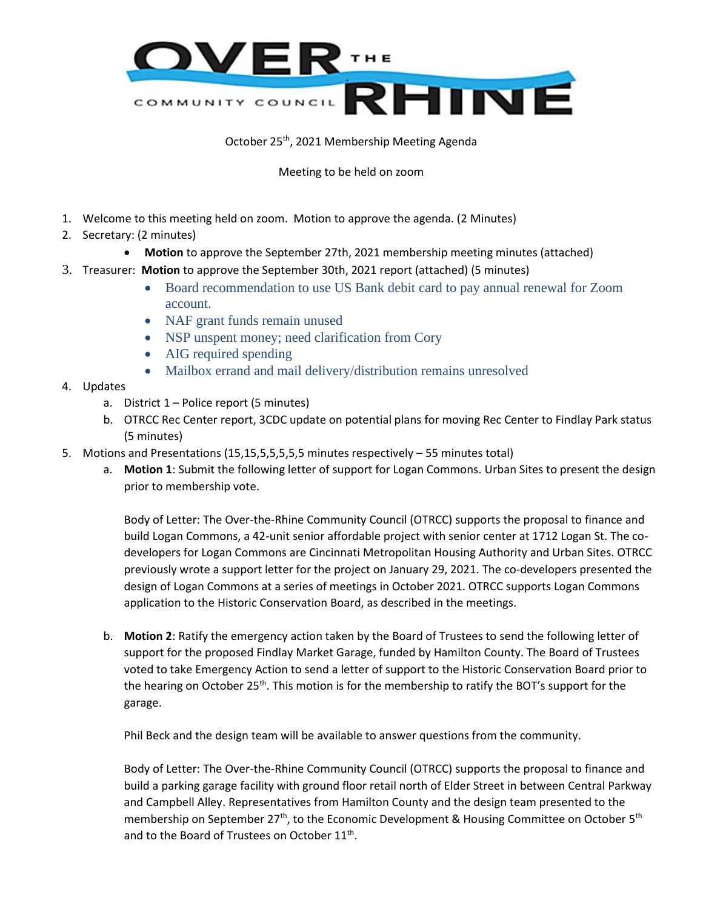

October 25th, 2021 Membership Meeting Agenda

Meeting to be held on zoom

- 1. Welcome to this meeting held on zoom. Motion to approve the agenda. (2 Minutes)
- 2. Secretary: (2 minutes)
	- **Motion** to approve the September 27th, 2021 membership meeting minutes (attached)
- 3. Treasurer: **Motion** to approve the September 30th, 2021 report (attached) (5 minutes)
	- Board recommendation to use US Bank debit card to pay annual renewal for Zoom account.
	- NAF grant funds remain unused
	- NSP unspent money; need clarification from Cory
	- AIG required spending
	- Mailbox errand and mail delivery/distribution remains unresolved
- 4. Updates
	- a. District  $1$  Police report (5 minutes)
	- b. OTRCC Rec Center report, 3CDC update on potential plans for moving Rec Center to Findlay Park status (5 minutes)
- 5. Motions and Presentations (15,15,5,5,5,5,5 minutes respectively 55 minutes total)
	- a. **Motion 1**: Submit the following letter of support for Logan Commons. Urban Sites to present the design prior to membership vote.

Body of Letter: The Over-the-Rhine Community Council (OTRCC) supports the proposal to finance and build Logan Commons, a 42-unit senior affordable project with senior center at 1712 Logan St. The codevelopers for Logan Commons are Cincinnati Metropolitan Housing Authority and Urban Sites. OTRCC previously wrote a support letter for the project on January 29, 2021. The co-developers presented the design of Logan Commons at a series of meetings in October 2021. OTRCC supports Logan Commons application to the Historic Conservation Board, as described in the meetings.

b. **Motion 2**: Ratify the emergency action taken by the Board of Trustees to send the following letter of support for the proposed Findlay Market Garage, funded by Hamilton County. The Board of Trustees voted to take Emergency Action to send a letter of support to the Historic Conservation Board prior to the hearing on October 25<sup>th</sup>. This motion is for the membership to ratify the BOT's support for the garage.

Phil Beck and the design team will be available to answer questions from the community.

Body of Letter: The Over-the-Rhine Community Council (OTRCC) supports the proposal to finance and build a parking garage facility with ground floor retail north of Elder Street in between Central Parkway and Campbell Alley. Representatives from Hamilton County and the design team presented to the membership on September 27<sup>th</sup>, to the Economic Development & Housing Committee on October 5<sup>th</sup> and to the Board of Trustees on October 11<sup>th</sup>.